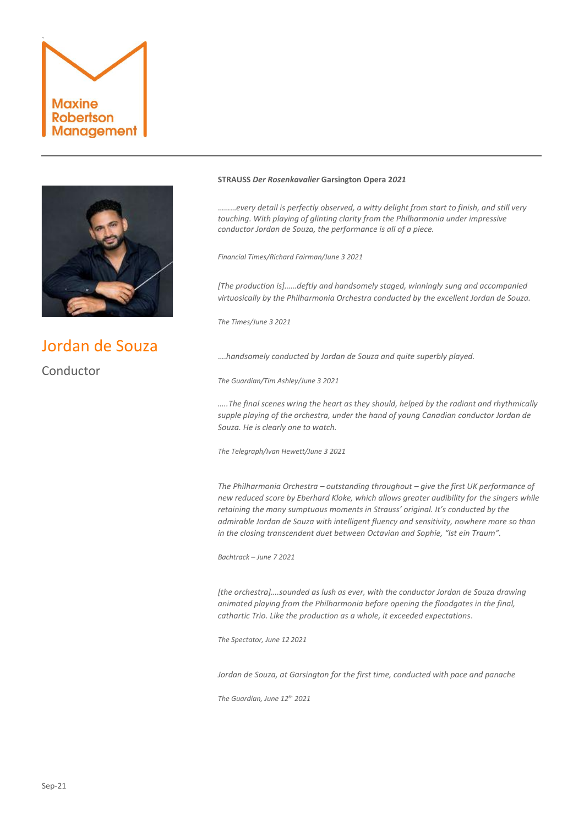



# Jordan de Souza Conductor

## **STRAUSS** *Der Rosenkavalier* **Garsington Opera 2***021*

………*every detail is perfectly observed, a witty delight from start to finish, and still very touching. With playing of glinting clarity from the Philharmonia under impressive conductor Jordan de Souza, the performance is all of a piece.*

*Financial Times/Richard Fairman/June 3 2021*

*[The production is]……deftly and handsomely staged, winningly sung and accompanied virtuosically by the Philharmonia Orchestra conducted by the excellent Jordan de Souza.*

*The Times/June 3 2021*

….*handsomely conducted by Jordan de Souza and quite superbly played.*

*The Guardian/Tim Ashley/June 3 2021*

*…..The final scenes wring the heart as they should, helped by the radiant and rhythmically supple playing of the orchestra, under the hand of young Canadian conductor Jordan de Souza. He is clearly one to watch.*

*The Telegraph/Ivan Hewett/June 3 2021*

*The Philharmonia Orchestra – outstanding throughout – give the first UK performance of new reduced score by Eberhard Kloke, which allows greater audibility for the singers while retaining the many sumptuous moments in Strauss' original. It's conducted by the admirable Jordan de Souza with intelligent fluency and sensitivity, nowhere more so than in the closing transcendent duet between Octavian and Sophie, "Ist ein Traum".*

*Bachtrack – June 7 2021*

*[the orchestra]….sounded as lush as ever, with the conductor Jordan de Souza drawing animated playing from the Philharmonia before opening the floodgates in the final, cathartic Trio. Like the production as a whole, it exceeded expectations*.

*The Spectator, June 12 2021*

*Jordan de Souza, at Garsington for the first time, conducted with pace and panache*

*The Guardian, June 12th 2021*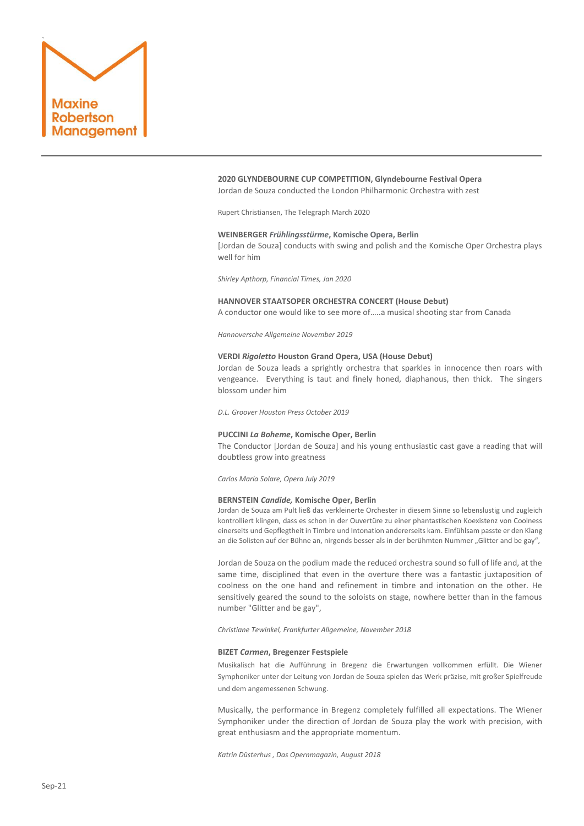

### **2020 GLYNDEBOURNE CUP COMPETITION, Glyndebourne Festival Opera** Jordan de Souza conducted the London Philharmonic Orchestra with zest

Rupert Christiansen, The Telegraph March 2020

## **WEINBERGER** *Frühlingsstürme***, Komische Opera, Berlin**

[Jordan de Souza] conducts with swing and polish and the Komische Oper Orchestra plays well for him

*Shirley Apthorp, Financial Times, Jan 2020*

#### **HANNOVER STAATSOPER ORCHESTRA CONCERT (House Debut)**

A conductor one would like to see more of…..a musical shooting star from Canada

*Hannoversche Allgemeine November 2019*

#### **VERDI** *Rigoletto* **Houston Grand Opera, USA (House Debut)**

Jordan de Souza leads a sprightly orchestra that sparkles in innocence then roars with vengeance. Everything is taut and finely honed, diaphanous, then thick. The singers blossom under him

*D.L. Groover Houston Press October 2019*

## **PUCCINI** *La Boheme***, Komische Oper, Berlin**

The Conductor [Jordan de Souza] and his young enthusiastic cast gave a reading that will doubtless grow into greatness

*Carlos Maria Solare, Opera July 2019*

#### **BERNSTEIN** *Candide,* **Komische Oper, Berlin**

Jordan de Souza am Pult ließ das verkleinerte Orchester in diesem Sinne so lebenslustig und zugleich kontrolliert klingen, dass es schon in der Ouvertüre zu einer phantastischen Koexistenz von Coolness einerseits und Gepflegtheit in Timbre und Intonation andererseits kam. Einfühlsam passte er den Klang an die Solisten auf der Bühne an, nirgends besser als in der berühmten Nummer "Glitter and be gay",

Jordan de Souza on the podium made the reduced orchestra sound so full of life and, at the same time, disciplined that even in the overture there was a fantastic juxtaposition of coolness on the one hand and refinement in timbre and intonation on the other. He sensitively geared the sound to the soloists on stage, nowhere better than in the famous number "Glitter and be gay",

*Christiane Tewinkel, Frankfurter Allgemeine, November 2018*

#### **BIZET** *Carmen***, Bregenzer Festspiele**

Musikalisch hat die Aufführung in Bregenz die Erwartungen vollkommen erfüllt. Die Wiener Symphoniker unter der Leitung von Jordan de Souza spielen das Werk präzise, mit großer Spielfreude und dem angemessenen Schwung.

Musically, the performance in Bregenz completely fulfilled all expectations. The Wiener Symphoniker under the direction of Jordan de Souza play the work with precision, with great enthusiasm and the appropriate momentum.

*Katrin Düsterhus , Das Opernmagazin, August 2018*